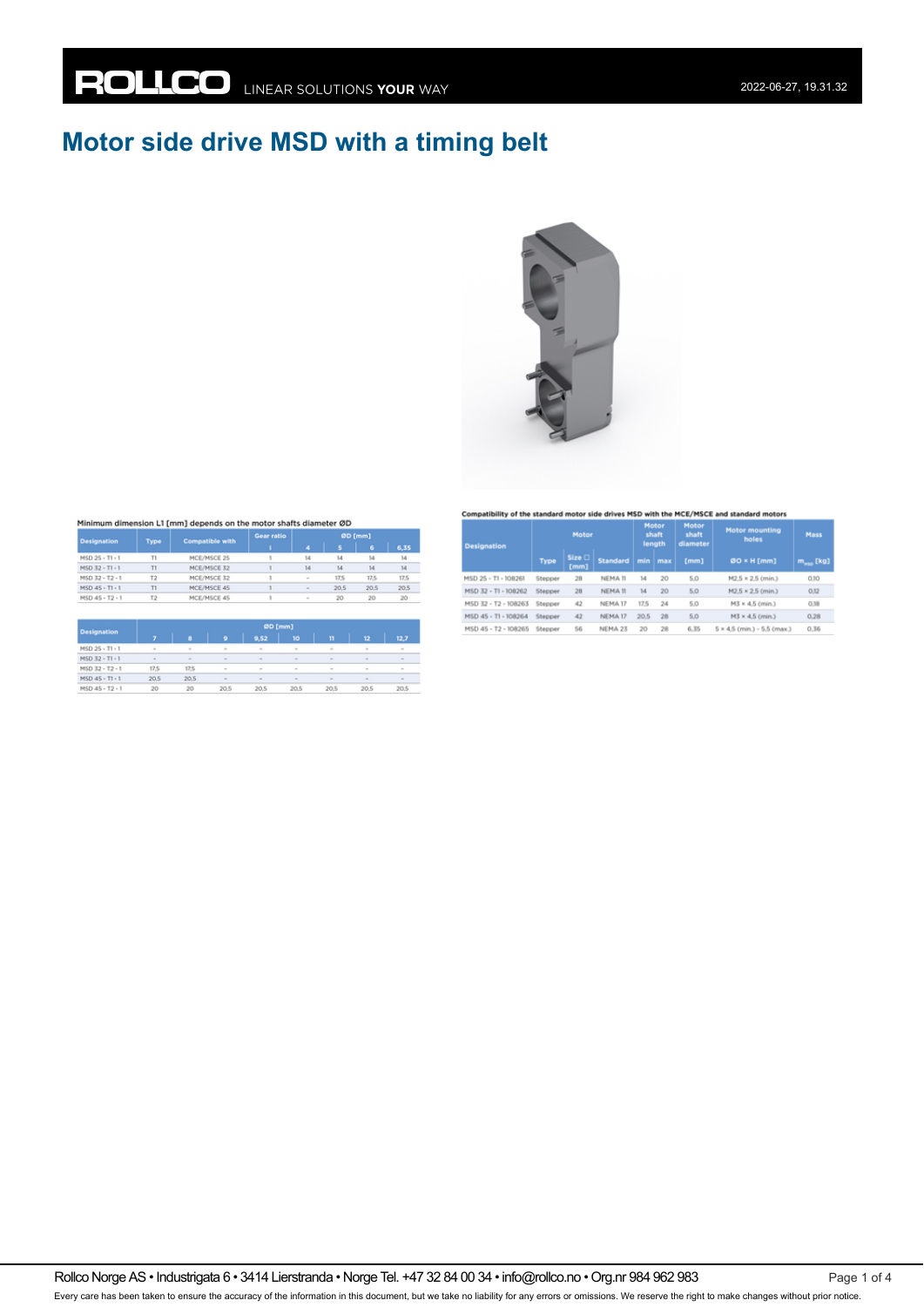# **Motor side drive MSD with a timing belt**



#### Minimum dimension L1 [mm] depends on the motor shafts diameter ØD

| <b>Designation</b> | Type           | <b>Compatible with</b> | Gear ratio | ØD [mm] |      |      |      |
|--------------------|----------------|------------------------|------------|---------|------|------|------|
|                    |                |                        |            | A       | s    | 6    | 6,35 |
| MSD 25 - T1 - 1    |                | MCE/MSCE 25            |            | 14      | 14   | 14   | 14   |
| MSD 32 - T1 - 1    | T1             | MCE/MSCE 32            |            | 14      | 14   | 14   | 14   |
| MSD 32 - T2 - 1    | Τ2             | MCE/MSCE 32            |            | $\sim$  | 17,5 | 17,5 | 17.5 |
| MSD 45 - T1 - 1    | <b>T1</b>      | MCE/MSCE 45            |            | $\sim$  | 20.5 | 20.5 | 20.5 |
| MSD 45 - T2 - 1    | T <sub>2</sub> | MCE/MSCE 45            |            | $\sim$  | 20   | 20   | 20   |

| <b>Designation</b> |        | <b><i><u>WHITE</u></i></b> |        |        |        |              |        |        |  |  |  |
|--------------------|--------|----------------------------|--------|--------|--------|--------------|--------|--------|--|--|--|
|                    |        |                            | o      | 9,52   | 10     | $\mathbf{H}$ | 12     | 12.7   |  |  |  |
| MSD 25 - T1 - 1    | $\sim$ | $\sim$                     | $\sim$ | $\sim$ | $\sim$ | $\sim$       | $\sim$ | $\sim$ |  |  |  |
| MSD 32 - T1 - 1    | $\sim$ | $\sim$                     | $\sim$ | $\sim$ | $\sim$ | $\sim$       | $\sim$ | $\sim$ |  |  |  |
| MSD 32 - T2 - 1    | 17.5   | 17.5                       | $\sim$ | $\sim$ | $\sim$ | $\sim$       | $\sim$ | $\sim$ |  |  |  |
| MSD 45 - T1 - 1    | 20.5   | 20.5                       | $\sim$ | $\sim$ | $\sim$ | $\sim$       | ×      | $\sim$ |  |  |  |
| MSD 45 - T2 - 1    | 20     | 20                         | 20.5   | 20.5   | 20.5   | 20.5         | 20.5   | 20.5   |  |  |  |

#### Compatibility of the standard motor side drives MSD with the MCE/MSCE and standard motors

| <b>Designation</b>   | Motor   |                       |                    | Motor<br>shaft<br>length |     | Motor<br>shaft<br>diameter | <b>Motor mounting</b><br>holes     | Mass                    |
|----------------------|---------|-----------------------|--------------------|--------------------------|-----|----------------------------|------------------------------------|-------------------------|
|                      | Type    | <b>Size</b> □<br>[mm] | <b>Standard</b>    | min                      | max | [mm]                       | 00 × H [mm]                        | $m_{\mu\nu\sigma}$ [kg] |
| MSD 25 - T1 - 108261 | Stepper | 28                    | NEMA 11            | 14                       | 20  | 5.0                        | M2.5 × 2.5 (min.)                  | 0.10                    |
| MSD 32 - T1 - 108262 | Stepper | 28                    | NEMA 11            | 14                       | 20  | 5,0                        | M2.5 × 2.5 (min.)                  | 0,12                    |
| MSD 32 - T2 - 108263 | Stepper | 42                    | NEMA <sub>17</sub> | 17.5                     | 24  | 5.0                        | M3 × 4,5 (min.)                    | 0,18                    |
| MSD 45 - T1 - 108264 | Stepper | 42                    | NEMA 17            | 20,5                     | 28  | 5,0                        | M3 × 4,5 (min.)                    | 0,28                    |
| MSD 45 - T2 - 108265 | Stepper | 56                    | NEMA 23            | 20                       | 28  | 6.35                       | $5 \times 4.5$ (min.) - 5.5 (max.) | 0,36                    |

Rollco Norge AS • Industrigata 6 • 3414 Lierstranda • Norge Tel. +47 32 84 00 34 • info@rollco.no • Org.nr 984 962 983 Page 1 of 4 Every care has been taken to ensure the accuracy of the information in this document, but we take no liability for any errors or omissions. We reserve the right to make changes without prior notice.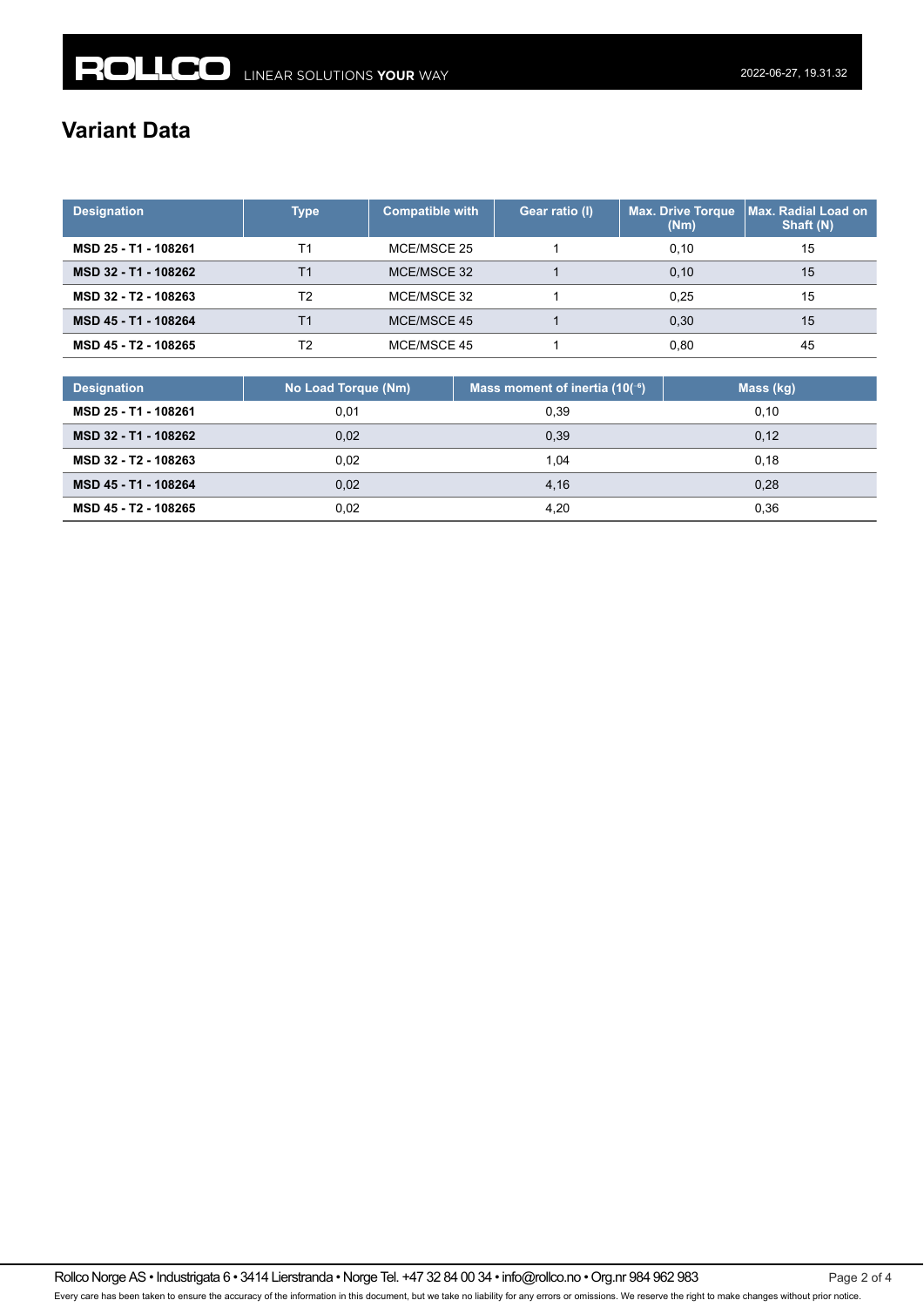## **Variant Data**

| <b>Designation</b>   | Type | <b>Compatible with</b> | Gear ratio (I) | <b>Max. Drive Torque</b><br>(Nm) | <b>Max. Radial Load on</b><br>Shaft (N) |
|----------------------|------|------------------------|----------------|----------------------------------|-----------------------------------------|
| MSD 25 - T1 - 108261 | Τ1   | MCE/MSCE 25            |                | 0.10                             | 15                                      |
| MSD 32 - T1 - 108262 | Τ1   | MCE/MSCE 32            |                | 0.10                             | 15                                      |
| MSD 32 - T2 - 108263 | T2   | MCE/MSCE 32            |                | 0.25                             | 15                                      |
| MSD 45 - T1 - 108264 | Τ1   | MCE/MSCE 45            |                | 0.30                             | 15                                      |
| MSD 45 - T2 - 108265 | T2   | MCE/MSCE 45            |                | 0.80                             | 45                                      |

| <b>Designation</b>   | No Load Torque (Nm) | Mass moment of inertia $(10^{-6})$ | Mass (kg) |
|----------------------|---------------------|------------------------------------|-----------|
| MSD 25 - T1 - 108261 | 0.01                | 0.39                               | 0.10      |
| MSD 32 - T1 - 108262 | 0.02                | 0,39                               | 0.12      |
| MSD 32 - T2 - 108263 | 0.02                | 1.04                               | 0.18      |
| MSD 45 - T1 - 108264 | 0.02                | 4,16                               | 0,28      |
| MSD 45 - T2 - 108265 | 0,02                | 4.20                               | 0.36      |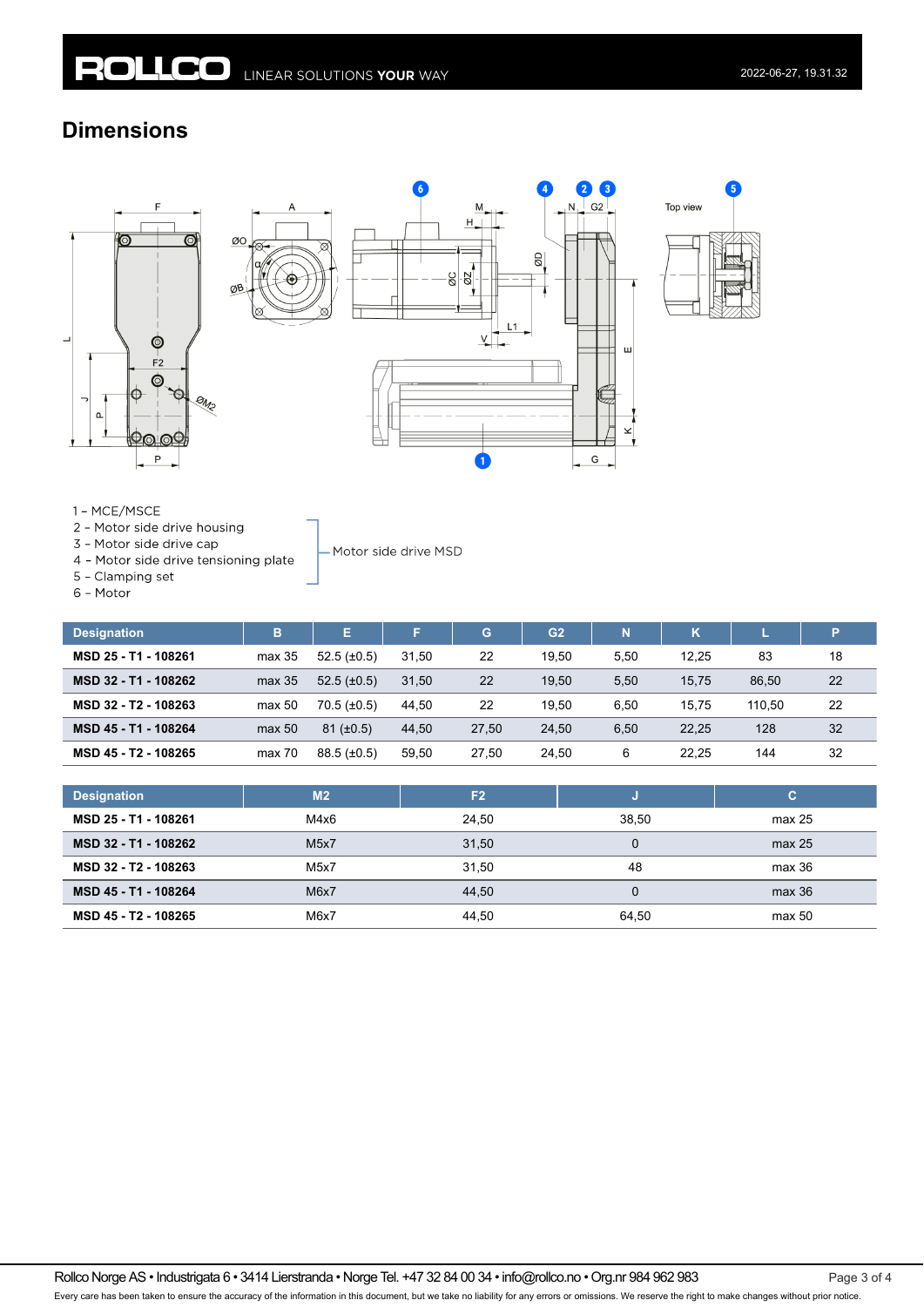ØO

### **Dimensions**







1 - MCE/MSCE

- 2 Motor side drive housing
- 3 Motor side drive cap
- 4 Motor side drive tensioning plate
- 5 Clamping set

6 - Motor

| <b>Designation</b>   | B      | E.               | E.    | G     | G <sub>2</sub> | N    | κ     |        | Þ  |
|----------------------|--------|------------------|-------|-------|----------------|------|-------|--------|----|
| MSD 25 - T1 - 108261 | max 35 | $52.5(\pm 0.5)$  | 31.50 | 22    | 19.50          | 5,50 | 12.25 | 83     | 18 |
| MSD 32 - T1 - 108262 | max 35 | $52.5 (\pm 0.5)$ | 31.50 | 22    | 19.50          | 5,50 | 15.75 | 86.50  | 22 |
| MSD 32 - T2 - 108263 | max 50 | $70.5 (\pm 0.5)$ | 44.50 | 22    | 19.50          | 6,50 | 15.75 | 110.50 | 22 |
| MSD 45 - T1 - 108264 | max 50 | $81 (\pm 0.5)$   | 44.50 | 27.50 | 24.50          | 6,50 | 22.25 | 128    | 32 |
| MSD 45 - T2 - 108265 | max 70 | $88.5 (\pm 0.5)$ | 59.50 | 27.50 | 24.50          | 6    | 22.25 | 144    | 32 |

- Motor side drive MSD

| <b>Designation</b>   | M <sub>2</sub>    | F <sub>2</sub> |       | c      |
|----------------------|-------------------|----------------|-------|--------|
| MSD 25 - T1 - 108261 | M4x6              | 24.50          | 38.50 | max 25 |
| MSD 32 - T1 - 108262 | M5x7              | 31,50          |       | max 25 |
| MSD 32 - T2 - 108263 | M <sub>5</sub> x7 | 31.50          | 48    | max 36 |
| MSD 45 - T1 - 108264 | M6x7              | 44.50          |       | max 36 |
| MSD 45 - T2 - 108265 | M6x7              | 44.50          | 64.50 | max 50 |

Rollco Norge AS • Industrigata 6 • 3414 Lierstranda • Norge Tel. +47 32 84 00 34 • info@rollco.no • Org.nr 984 962 983 Page 3 of 4